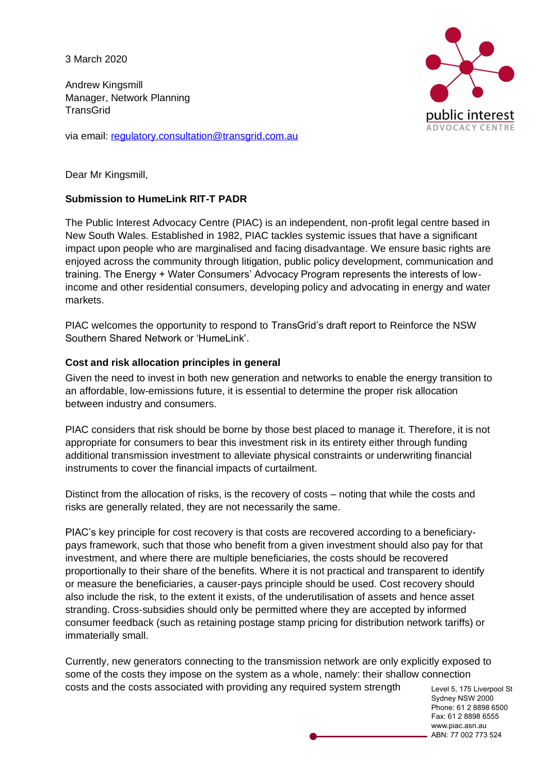3 March 2020

Andrew Kingsmill Manager, Network Planning **TransGrid** 

via email: [regulatory.consultation@transgrid.com.au](mailto:regulatory.consultation@transgrid.com.au)



Dear Mr Kingsmill,

## **Submission to HumeLink RIT-T PADR**

The Public Interest Advocacy Centre (PIAC) is an independent, non-profit legal centre based in New South Wales. Established in 1982, PIAC tackles systemic issues that have a significant impact upon people who are marginalised and facing disadvantage. We ensure basic rights are enjoyed across the community through litigation, public policy development, communication and training. The Energy + Water Consumers' Advocacy Program represents the interests of lowincome and other residential consumers, developing policy and advocating in energy and water markets.

PIAC welcomes the opportunity to respond to TransGrid's draft report to Reinforce the NSW Southern Shared Network or 'HumeLink'.

### **Cost and risk allocation principles in general**

Given the need to invest in both new generation and networks to enable the energy transition to an affordable, low-emissions future, it is essential to determine the proper risk allocation between industry and consumers.

PIAC considers that risk should be borne by those best placed to manage it. Therefore, it is not appropriate for consumers to bear this investment risk in its entirety either through funding additional transmission investment to alleviate physical constraints or underwriting financial instruments to cover the financial impacts of curtailment.

Distinct from the allocation of risks, is the recovery of costs – noting that while the costs and risks are generally related, they are not necessarily the same.

PIAC's key principle for cost recovery is that costs are recovered according to a beneficiarypays framework, such that those who benefit from a given investment should also pay for that investment, and where there are multiple beneficiaries, the costs should be recovered proportionally to their share of the benefits. Where it is not practical and transparent to identify or measure the beneficiaries, a causer-pays principle should be used. Cost recovery should also include the risk, to the extent it exists, of the underutilisation of assets and hence asset stranding. Cross-subsidies should only be permitted where they are accepted by informed consumer feedback (such as retaining postage stamp pricing for distribution network tariffs) or immaterially small.

Currently, new generators connecting to the transmission network are only explicitly exposed to some of the costs they impose on the system as a whole, namely: their shallow connection costs and the costs associated with providing any required system strength

Level 5, 175 Liverpool St Sydney NSW 2000 Phone: 61 2 8898 6500 Fax: 61 2 8898 6555 www.piac.asn.au ABN: 77 002 773 524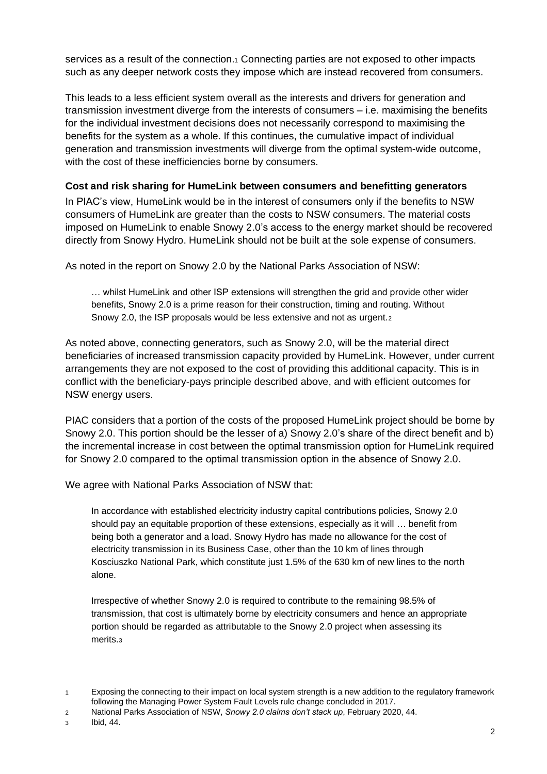services as a result of the connection.<sub>1</sub> Connecting parties are not exposed to other impacts such as any deeper network costs they impose which are instead recovered from consumers.

This leads to a less efficient system overall as the interests and drivers for generation and transmission investment diverge from the interests of consumers – i.e. maximising the benefits for the individual investment decisions does not necessarily correspond to maximising the benefits for the system as a whole. If this continues, the cumulative impact of individual generation and transmission investments will diverge from the optimal system-wide outcome, with the cost of these inefficiencies borne by consumers.

## **Cost and risk sharing for HumeLink between consumers and benefitting generators**

In PIAC's view, HumeLink would be in the interest of consumers only if the benefits to NSW consumers of HumeLink are greater than the costs to NSW consumers. The material costs imposed on HumeLink to enable Snowy 2.0's access to the energy market should be recovered directly from Snowy Hydro. HumeLink should not be built at the sole expense of consumers.

As noted in the report on Snowy 2.0 by the National Parks Association of NSW:

… whilst HumeLink and other ISP extensions will strengthen the grid and provide other wider benefits, Snowy 2.0 is a prime reason for their construction, timing and routing. Without Snowy 2.0, the ISP proposals would be less extensive and not as urgent.<sup>2</sup>

As noted above, connecting generators, such as Snowy 2.0, will be the material direct beneficiaries of increased transmission capacity provided by HumeLink. However, under current arrangements they are not exposed to the cost of providing this additional capacity. This is in conflict with the beneficiary-pays principle described above, and with efficient outcomes for NSW energy users.

PIAC considers that a portion of the costs of the proposed HumeLink project should be borne by Snowy 2.0. This portion should be the lesser of a) Snowy 2.0's share of the direct benefit and b) the incremental increase in cost between the optimal transmission option for HumeLink required for Snowy 2.0 compared to the optimal transmission option in the absence of Snowy 2.0.

We agree with National Parks Association of NSW that:

In accordance with established electricity industry capital contributions policies, Snowy 2.0 should pay an equitable proportion of these extensions, especially as it will … benefit from being both a generator and a load. Snowy Hydro has made no allowance for the cost of electricity transmission in its Business Case, other than the 10 km of lines through Kosciuszko National Park, which constitute just 1.5% of the 630 km of new lines to the north alone.

Irrespective of whether Snowy 2.0 is required to contribute to the remaining 98.5% of transmission, that cost is ultimately borne by electricity consumers and hence an appropriate portion should be regarded as attributable to the Snowy 2.0 project when assessing its merits.<sup>3</sup>

<sup>1</sup> Exposing the connecting to their impact on local system strength is a new addition to the regulatory framework following the Managing Power System Fault Levels rule change concluded in 2017.

<sup>2</sup> National Parks Association of NSW, *Snowy 2.0 claims don't stack up*, February 2020, 44.

<sup>3</sup> Ibid, 44.